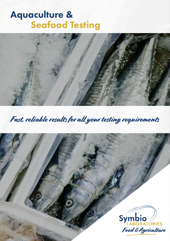# Aquaculture & Seafood Testing



Fast, reliable results for all your testing requirements